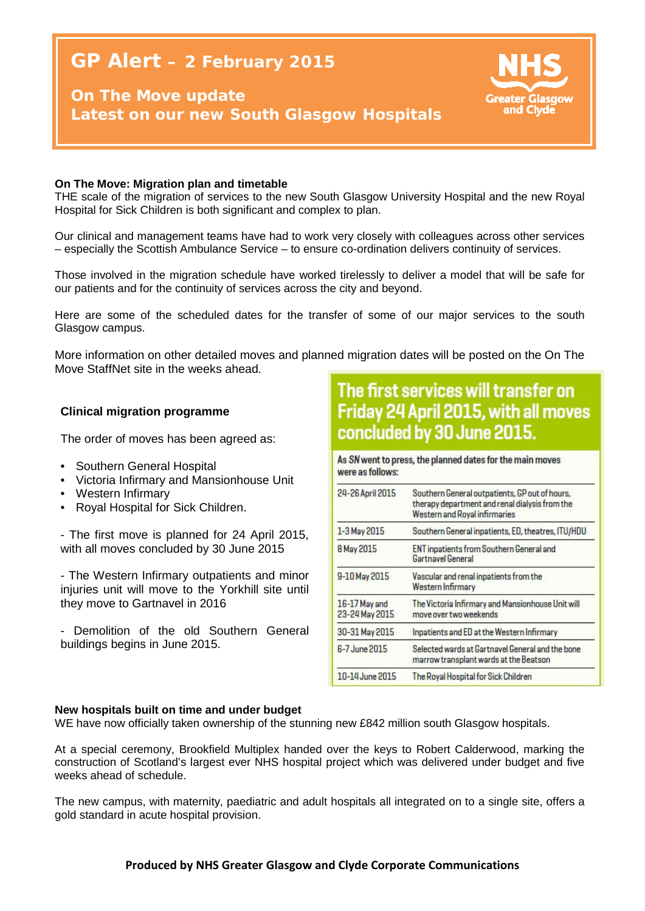# **GP Alert – 2 February 2015**

### **On The Move update Latest on our new South Glasgow Hospitals**



#### **On The Move: Migration plan and timetable**

THE scale of the migration of services to the new South Glasgow University Hospital and the new Royal Hospital for Sick Children is both significant and complex to plan.

Our clinical and management teams have had to work very closely with colleagues across other services – especially the Scottish Ambulance Service – to ensure co-ordination delivers continuity of services.

Those involved in the migration schedule have worked tirelessly to deliver a model that will be safe for our patients and for the continuity of services across the city and beyond.

Here are some of the scheduled dates for the transfer of some of our major services to the south Glasgow campus.

More information on other detailed moves and planned migration dates will be posted on the On The Move StaffNet site in the weeks ahead.

#### **New hospitals built on time and under budget Clinical migration programme**

The order of moves has been agreed as:

- Southern General Hospital
- Victoria Infirmary and Mansionhouse Unit
- Western Infirmary
- Royal Hospital for Sick Children.

- The first move is planned for 24 April 2015, with all moves concluded by 30 June 2015

- The Western Infirmary outpatients and minor injuries unit will move to the Yorkhill site until they move to Gartnavel in 2016

- Demolition of the old Southern General buildings begins in June 2015.

## The first services will transfer on Friday 24 April 2015, with all moves concluded by 30 June 2015.

As SN went to press, the planned dates for the main moves were as follows:

| 24-26 April 2015                | Southern General outpatients, GP out of hours,<br>therapy department and renal dialysis from the<br><b>Western and Royal infirmaries</b> |
|---------------------------------|------------------------------------------------------------------------------------------------------------------------------------------|
| 1-3 May 2015                    | Southern General inpatients, ED, theatres, ITU/HDU                                                                                       |
| 8 May 2015                      | <b>ENT inpatients from Southern General and</b><br><b>Gartnavel General</b>                                                              |
| 9-10 May 2015                   | Vascular and renal inpatients from the<br><b>Western Infirmary</b>                                                                       |
| 16-17 May and<br>23-24 May 2015 | The Victoria Infirmary and Mansionhouse Unit will<br>move over two weekends                                                              |
| 30-31 May 2015                  | Inpatients and ED at the Western Infirmary                                                                                               |
| 6-7 June 2015                   | Selected wards at Gartnavel General and the bone<br>marrow transplant wards at the Beatson                                               |
| 10-14 June 2015                 | The Royal Hospital for Sick Children                                                                                                     |

#### **New hospitals built on time and under budget**

WE have now officially taken ownership of the stunning new £842 million south Glasgow hospitals.

At a special ceremony, Brookfield Multiplex handed over the keys to Robert Calderwood, marking the construction of Scotland's largest ever NHS hospital project which was delivered under budget and five weeks ahead of schedule.

The new campus, with maternity, paediatric and adult hospitals all integrated on to a single site, offers a gold standard in acute hospital provision.